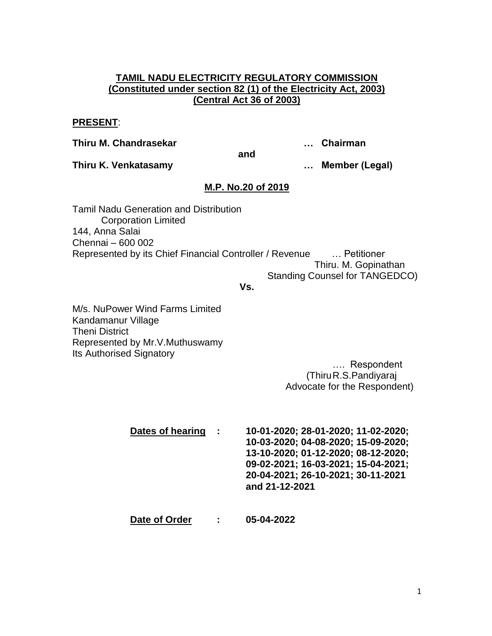## **TAMIL NADU ELECTRICITY REGULATORY COMMISSION (Constituted under section 82 (1) of the Electricity Act, 2003) (Central Act 36 of 2003)**

#### **PRESENT**:

**Thiru M. Chandrasekar … Chairman**

**and**

**Thiru K. Venkatasamy … Member (Legal)**

## **M.P. No.20 of 2019**

Tamil Nadu Generation and Distribution Corporation Limited 144, Anna Salai Chennai – 600 002 Represented by its Chief Financial Controller / Revenue … Petitioner Thiru. M. Gopinathan Standing Counsel for TANGEDCO)

#### **Vs.**

M/s. NuPower Wind Farms Limited Kandamanur Village Theni District Represented by Mr.V.Muthuswamy Its Authorised Signatory

> …. Respondent (ThiruR.S.Pandiyaraj Advocate for the Respondent)

**Dates of hearing : 10-01-2020; 28-01-2020; 11-02-2020; 10-03-2020; 04-08-2020; 15-09-2020; 13-10-2020; 01-12-2020; 08-12-2020; 09-02-2021; 16-03-2021; 15-04-2021; 20-04-2021; 26-10-2021; 30-11-2021 and 21-12-2021**

**Date of Order : 05-04-2022**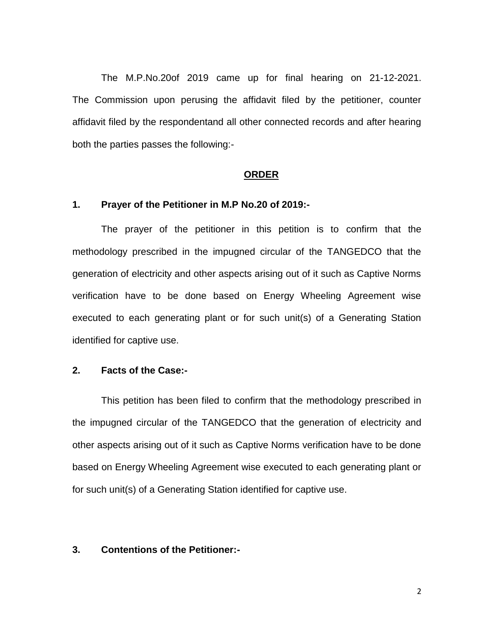The M.P.No.20of 2019 came up for final hearing on 21-12-2021. The Commission upon perusing the affidavit filed by the petitioner, counter affidavit filed by the respondentand all other connected records and after hearing both the parties passes the following:-

#### **ORDER**

#### **1. Prayer of the Petitioner in M.P No.20 of 2019:-**

The prayer of the petitioner in this petition is to confirm that the methodology prescribed in the impugned circular of the TANGEDCO that the generation of electricity and other aspects arising out of it such as Captive Norms verification have to be done based on Energy Wheeling Agreement wise executed to each generating plant or for such unit(s) of a Generating Station identified for captive use.

### **2. Facts of the Case:-**

This petition has been filed to confirm that the methodology prescribed in the impugned circular of the TANGEDCO that the generation of electricity and other aspects arising out of it such as Captive Norms verification have to be done based on Energy Wheeling Agreement wise executed to each generating plant or for such unit(s) of a Generating Station identified for captive use.

### **3. Contentions of the Petitioner:-**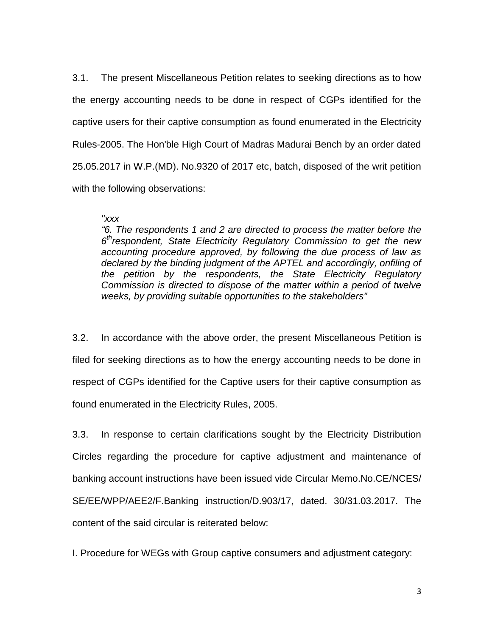3.1. The present Miscellaneous Petition relates to seeking directions as to how the energy accounting needs to be done in respect of CGPs identified for the captive users for their captive consumption as found enumerated in the Electricity Rules-2005. The Hon'ble High Court of Madras Madurai Bench by an order dated 25.05.2017 in W.P.(MD). No.9320 of 2017 etc, batch, disposed of the writ petition with the following observations:

### *"xxx*

*"6. The respondents 1 and 2 are directed to process the matter before the 6 threspondent, State Electricity Regulatory Commission to get the new accounting procedure approved, by following the due process of law as declared by the binding judgment of the APTEL and accordingly, onfiling of the petition by the respondents, the State Electricity Regulatory Commission is directed to dispose of the matter within a period of twelve weeks, by providing suitable opportunities to the stakeholders"* 

3.2. In accordance with the above order, the present Miscellaneous Petition is filed for seeking directions as to how the energy accounting needs to be done in respect of CGPs identified for the Captive users for their captive consumption as found enumerated in the Electricity Rules, 2005.

3.3. In response to certain clarifications sought by the Electricity Distribution Circles regarding the procedure for captive adjustment and maintenance of banking account instructions have been issued vide Circular Memo.No.CE/NCES/ SE/EE/WPP/AEE2/F.Banking instruction/D.903/17, dated. 30/31.03.2017. The content of the said circular is reiterated below:

I. Procedure for WEGs with Group captive consumers and adjustment category: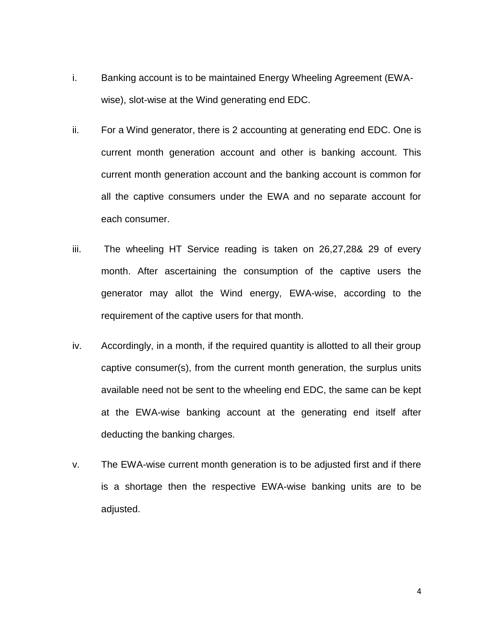- i. Banking account is to be maintained Energy Wheeling Agreement (EWAwise), slot-wise at the Wind generating end EDC.
- ii. For a Wind generator, there is 2 accounting at generating end EDC. One is current month generation account and other is banking account. This current month generation account and the banking account is common for all the captive consumers under the EWA and no separate account for each consumer.
- iii. The wheeling HT Service reading is taken on 26,27,28& 29 of every month. After ascertaining the consumption of the captive users the generator may allot the Wind energy, EWA-wise, according to the requirement of the captive users for that month.
- iv. Accordingly, in a month, if the required quantity is allotted to all their group captive consumer(s), from the current month generation, the surplus units available need not be sent to the wheeling end EDC, the same can be kept at the EWA-wise banking account at the generating end itself after deducting the banking charges.
- v. The EWA-wise current month generation is to be adjusted first and if there is a shortage then the respective EWA-wise banking units are to be adjusted.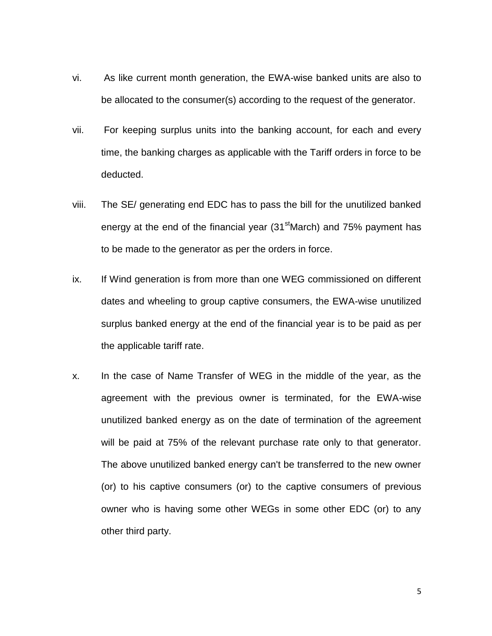- vi. As like current month generation, the EWA-wise banked units are also to be allocated to the consumer(s) according to the request of the generator.
- vii. For keeping surplus units into the banking account, for each and every time, the banking charges as applicable with the Tariff orders in force to be deducted.
- viii. The SE/ generating end EDC has to pass the bill for the unutilized banked energy at the end of the financial year (31<sup>st</sup>March) and 75% payment has to be made to the generator as per the orders in force.
- ix. If Wind generation is from more than one WEG commissioned on different dates and wheeling to group captive consumers, the EWA-wise unutilized surplus banked energy at the end of the financial year is to be paid as per the applicable tariff rate.
- x. In the case of Name Transfer of WEG in the middle of the year, as the agreement with the previous owner is terminated, for the EWA-wise unutilized banked energy as on the date of termination of the agreement will be paid at 75% of the relevant purchase rate only to that generator. The above unutilized banked energy can't be transferred to the new owner (or) to his captive consumers (or) to the captive consumers of previous owner who is having some other WEGs in some other EDC (or) to any other third party.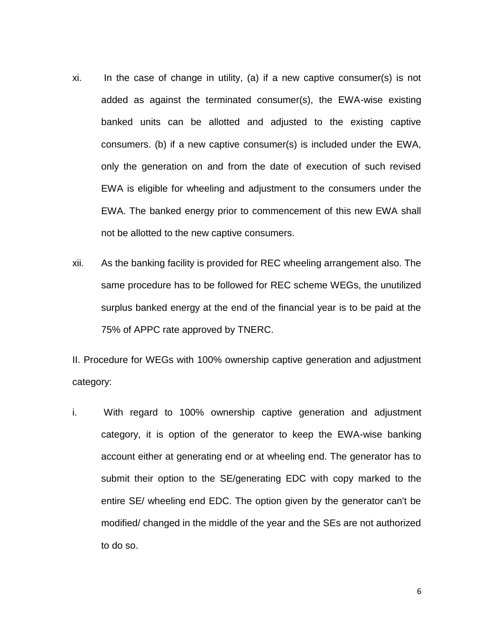- xi. In the case of change in utility, (a) if a new captive consumer(s) is not added as against the terminated consumer(s), the EWA-wise existing banked units can be allotted and adjusted to the existing captive consumers. (b) if a new captive consumer(s) is included under the EWA, only the generation on and from the date of execution of such revised EWA is eligible for wheeling and adjustment to the consumers under the EWA. The banked energy prior to commencement of this new EWA shall not be allotted to the new captive consumers.
- xii. As the banking facility is provided for REC wheeling arrangement also. The same procedure has to be followed for REC scheme WEGs, the unutilized surplus banked energy at the end of the financial year is to be paid at the 75% of APPC rate approved by TNERC.

II. Procedure for WEGs with 100% ownership captive generation and adjustment category:

i. With regard to 100% ownership captive generation and adjustment category, it is option of the generator to keep the EWA-wise banking account either at generating end or at wheeling end. The generator has to submit their option to the SE/generating EDC with copy marked to the entire SE/ wheeling end EDC. The option given by the generator can't be modified/ changed in the middle of the year and the SEs are not authorized to do so.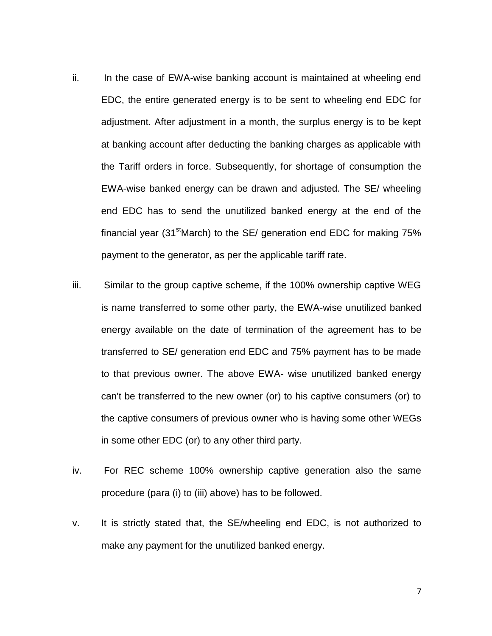- ii. In the case of EWA-wise banking account is maintained at wheeling end EDC, the entire generated energy is to be sent to wheeling end EDC for adjustment. After adjustment in a month, the surplus energy is to be kept at banking account after deducting the banking charges as applicable with the Tariff orders in force. Subsequently, for shortage of consumption the EWA-wise banked energy can be drawn and adjusted. The SE/ wheeling end EDC has to send the unutilized banked energy at the end of the financial year (31<sup>st</sup>March) to the SE/ generation end EDC for making  $75\%$ payment to the generator, as per the applicable tariff rate.
- iii. Similar to the group captive scheme, if the 100% ownership captive WEG is name transferred to some other party, the EWA-wise unutilized banked energy available on the date of termination of the agreement has to be transferred to SE/ generation end EDC and 75% payment has to be made to that previous owner. The above EWA- wise unutilized banked energy can't be transferred to the new owner (or) to his captive consumers (or) to the captive consumers of previous owner who is having some other WEGs in some other EDC (or) to any other third party.
- iv. For REC scheme 100% ownership captive generation also the same procedure (para (i) to (iii) above) has to be followed.
- v. It is strictly stated that, the SE/wheeling end EDC, is not authorized to make any payment for the unutilized banked energy.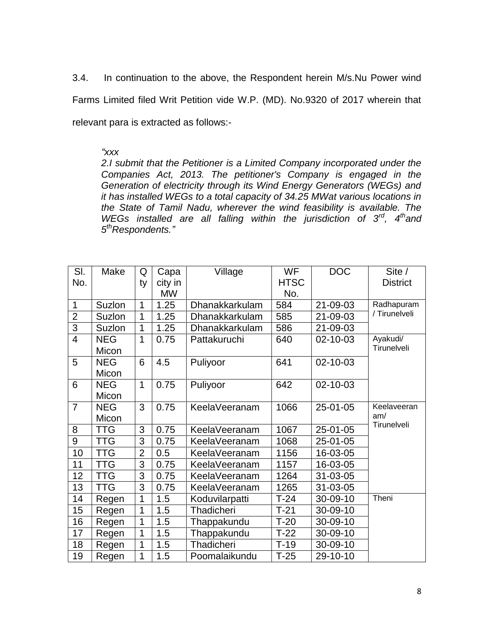3.4. In continuation to the above, the Respondent herein M/s.Nu Power wind Farms Limited filed Writ Petition vide W.P. (MD). No.9320 of 2017 wherein that relevant para is extracted as follows:-

### *"xxx*

*2.I submit that the Petitioner is a Limited Company incorporated under the Companies Act, 2013. The petitioner's Company is engaged in the Generation of electricity through its Wind Energy Generators (WEGs) and it has installed WEGs to a total capacity of 34.25 MWat various locations in the State of Tamil Nadu, wherever the wind feasibility is available. The*  WEGs installed are all falling within the jurisdiction of 3<sup>rd</sup>, 4<sup>th</sup>and *5 thRespondents."*

| SI.            | Make       | Q              | Capa      | Village        | <b>WF</b>   | <b>DOC</b> | Site /             |
|----------------|------------|----------------|-----------|----------------|-------------|------------|--------------------|
| No.            |            | ty             | city in   |                | <b>HTSC</b> |            | <b>District</b>    |
|                |            |                | <b>MW</b> |                | No.         |            |                    |
| $\mathbf{1}$   | Suzlon     | 1              | 1.25      | Dhanakkarkulam | 584         | 21-09-03   | Radhapuram         |
| $\overline{2}$ | Suzlon     | 1              | 1.25      | Dhanakkarkulam | 585         | 21-09-03   | / Tirunelveli      |
| $\overline{3}$ | Suzlon     | 1              | 1.25      | Dhanakkarkulam | 586         | 21-09-03   |                    |
| $\overline{4}$ | <b>NEG</b> | 1              | 0.75      | Pattakuruchi   | 640         | 02-10-03   | Ayakudi/           |
|                | Micon      |                |           |                |             |            | Tirunelveli        |
| 5              | <b>NEG</b> | 6              | 4.5       | Puliyoor       | 641         | 02-10-03   |                    |
|                | Micon      |                |           |                |             |            |                    |
| 6              | <b>NEG</b> | 1              | 0.75      | Puliyoor       | 642         | 02-10-03   |                    |
|                | Micon      |                |           |                |             |            |                    |
| $\overline{7}$ | <b>NEG</b> | 3              | 0.75      | KeelaVeeranam  | 1066        | 25-01-05   | Keelaveeran        |
|                | Micon      |                |           |                |             |            | am/<br>Tirunelveli |
| 8              | TTG        | 3              | 0.75      | KeelaVeeranam  | 1067        | 25-01-05   |                    |
| 9              | <b>TTG</b> | 3              | 0.75      | KeelaVeeranam  | 1068        | 25-01-05   |                    |
| 10             | <b>TTG</b> | $\overline{2}$ | 0.5       | KeelaVeeranam  | 1156        | 16-03-05   |                    |
| 11             | <b>TTG</b> | 3              | 0.75      | KeelaVeeranam  | 1157        | 16-03-05   |                    |
| 12             | <b>TTG</b> | 3              | 0.75      | KeelaVeeranam  | 1264        | 31-03-05   |                    |
| 13             | <b>TTG</b> | 3              | 0.75      | KeelaVeeranam  | 1265        | 31-03-05   |                    |
| 14             | Regen      | 1              | 1.5       | Koduvilarpatti | $T-24$      | 30-09-10   | Theni              |
| 15             | Regen      | 1              | 1.5       | Thadicheri     | $T-21$      | 30-09-10   |                    |
| 16             | Regen      | 1              | 1.5       | Thappakundu    | $T-20$      | 30-09-10   |                    |
| 17             | Regen      | 1              | 1.5       | Thappakundu    | $T-22$      | 30-09-10   |                    |
| 18             | Regen      | 1              | 1.5       | Thadicheri     | $T-19$      | 30-09-10   |                    |
| 19             | Regen      | 1              | 1.5       | Poomalaikundu  | $T-25$      | 29-10-10   |                    |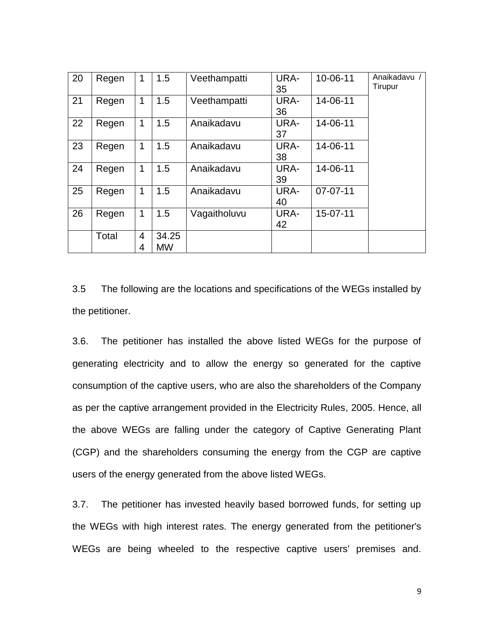| 20 | Regen | 1                   | 1.5                | Veethampatti | URA-<br>35 | 10-06-11       | Anaikadavu /<br>Tirupur |
|----|-------|---------------------|--------------------|--------------|------------|----------------|-------------------------|
| 21 | Regen | 1                   | 1.5                | Veethampatti | URA-<br>36 | 14-06-11       |                         |
| 22 | Regen | 1                   | 1.5                | Anaikadavu   | URA-<br>37 | 14-06-11       |                         |
| 23 | Regen | 1                   | 1.5                | Anaikadavu   | URA-<br>38 | 14-06-11       |                         |
| 24 | Regen | 1                   | 1.5                | Anaikadavu   | URA-<br>39 | 14-06-11       |                         |
| 25 | Regen | 1                   | 1.5                | Anaikadavu   | URA-<br>40 | $07 - 07 - 11$ |                         |
| 26 | Regen | $\mathbf 1$         | 1.5                | Vagaitholuvu | URA-<br>42 | 15-07-11       |                         |
|    | Total | $\overline{4}$<br>4 | 34.25<br><b>MW</b> |              |            |                |                         |

3.5 The following are the locations and specifications of the WEGs installed by the petitioner.

3.6. The petitioner has installed the above listed WEGs for the purpose of generating electricity and to allow the energy so generated for the captive consumption of the captive users, who are also the shareholders of the Company as per the captive arrangement provided in the Electricity Rules, 2005. Hence, all the above WEGs are falling under the category of Captive Generating Plant (CGP) and the shareholders consuming the energy from the CGP are captive users of the energy generated from the above listed WEGs.

3.7. The petitioner has invested heavily based borrowed funds, for setting up the WEGs with high interest rates. The energy generated from the petitioner's WEGs are being wheeled to the respective captive users' premises and.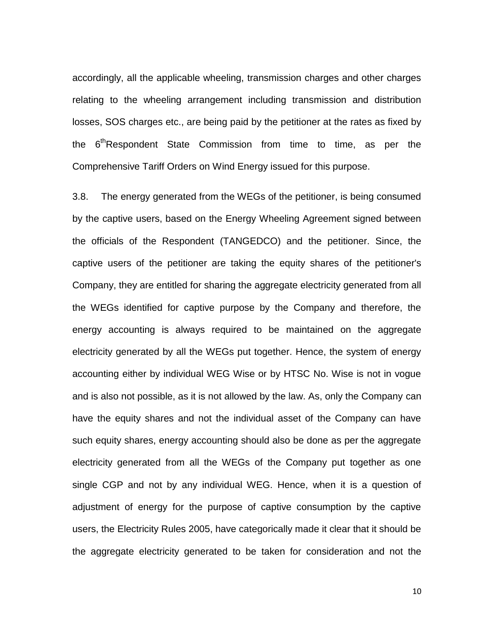accordingly, all the applicable wheeling, transmission charges and other charges relating to the wheeling arrangement including transmission and distribution losses, SOS charges etc., are being paid by the petitioner at the rates as fixed by the 6<sup>th</sup>Respondent State Commission from time to time, as per the Comprehensive Tariff Orders on Wind Energy issued for this purpose.

3.8. The energy generated from the WEGs of the petitioner, is being consumed by the captive users, based on the Energy Wheeling Agreement signed between the officials of the Respondent (TANGEDCO) and the petitioner. Since, the captive users of the petitioner are taking the equity shares of the petitioner's Company, they are entitled for sharing the aggregate electricity generated from all the WEGs identified for captive purpose by the Company and therefore, the energy accounting is always required to be maintained on the aggregate electricity generated by all the WEGs put together. Hence, the system of energy accounting either by individual WEG Wise or by HTSC No. Wise is not in vogue and is also not possible, as it is not allowed by the law. As, only the Company can have the equity shares and not the individual asset of the Company can have such equity shares, energy accounting should also be done as per the aggregate electricity generated from all the WEGs of the Company put together as one single CGP and not by any individual WEG. Hence, when it is a question of adjustment of energy for the purpose of captive consumption by the captive users, the Electricity Rules 2005, have categorically made it clear that it should be the aggregate electricity generated to be taken for consideration and not the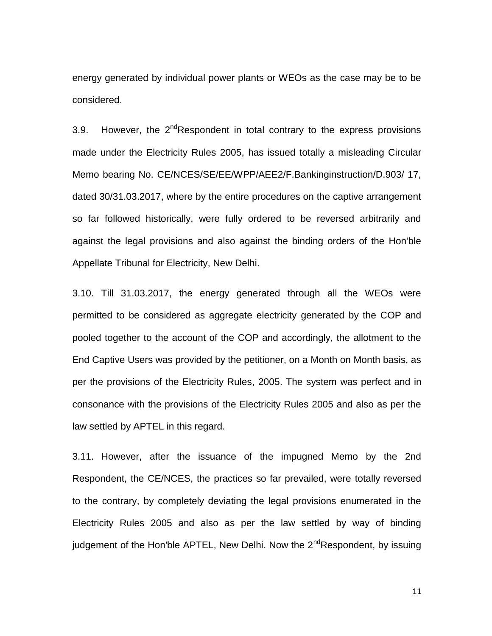energy generated by individual power plants or WEOs as the case may be to be considered.

3.9. However, the  $2^{nd}$ Respondent in total contrary to the express provisions made under the Electricity Rules 2005, has issued totally a misleading Circular Memo bearing No. CE/NCES/SE/EE/WPP/AEE2/F.Bankinginstruction/D.903/ 17, dated 30/31.03.2017, where by the entire procedures on the captive arrangement so far followed historically, were fully ordered to be reversed arbitrarily and against the legal provisions and also against the binding orders of the Hon'ble Appellate Tribunal for Electricity, New Delhi.

3.10. Till 31.03.2017, the energy generated through all the WEOs were permitted to be considered as aggregate electricity generated by the COP and pooled together to the account of the COP and accordingly, the allotment to the End Captive Users was provided by the petitioner, on a Month on Month basis, as per the provisions of the Electricity Rules, 2005. The system was perfect and in consonance with the provisions of the Electricity Rules 2005 and also as per the law settled by APTEL in this regard.

3.11. However, after the issuance of the impugned Memo by the 2nd Respondent, the CE/NCES, the practices so far prevailed, were totally reversed to the contrary, by completely deviating the legal provisions enumerated in the Electricity Rules 2005 and also as per the law settled by way of binding judgement of the Hon'ble APTEL, New Delhi. Now the  $2^{nd}$ Respondent, by issuing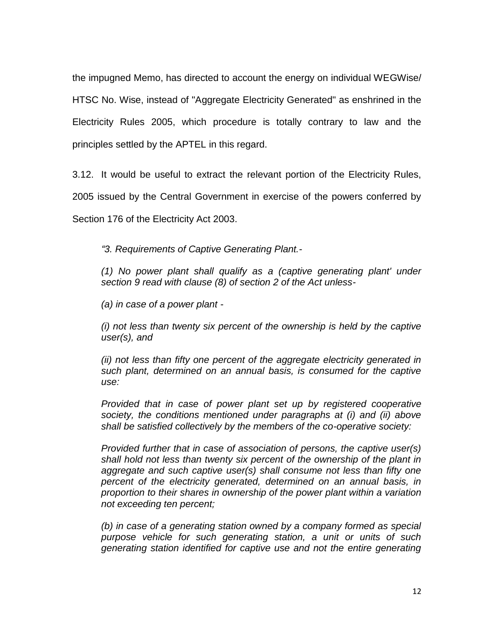the impugned Memo, has directed to account the energy on individual WEGWise/ HTSC No. Wise, instead of "Aggregate Electricity Generated" as enshrined in the Electricity Rules 2005, which procedure is totally contrary to law and the principles settled by the APTEL in this regard.

3.12. It would be useful to extract the relevant portion of the Electricity Rules,

2005 issued by the Central Government in exercise of the powers conferred by

Section 176 of the Electricity Act 2003.

*"3. Requirements of Captive Generating Plant.-*

*(1) No power plant shall qualify as a (captive generating plant' under section 9 read with clause (8) of section 2 of the Act unless-*

*(a) in case of a power plant -*

*(i) not less than twenty six percent of the ownership is held by the captive user(s), and* 

*(ii) not less than fifty one percent of the aggregate electricity generated in such plant, determined on an annual basis, is consumed for the captive use:* 

*Provided that in case of power plant set up by registered cooperative society, the conditions mentioned under paragraphs at (i) and (ii) above shall be satisfied collectively by the members of the co-operative society:* 

*Provided further that in case of association of persons, the captive user(s) shall hold not less than twenty six percent of the ownership of the plant in aggregate and such captive user(s) shall consume not less than fifty one percent of the electricity generated, determined on an annual basis, in proportion to their shares in ownership of the power plant within a variation not exceeding ten percent;* 

*(b) in case of a generating station owned by a company formed as special purpose vehicle for such generating station, a unit or units of such generating station identified for captive use and not the entire generating*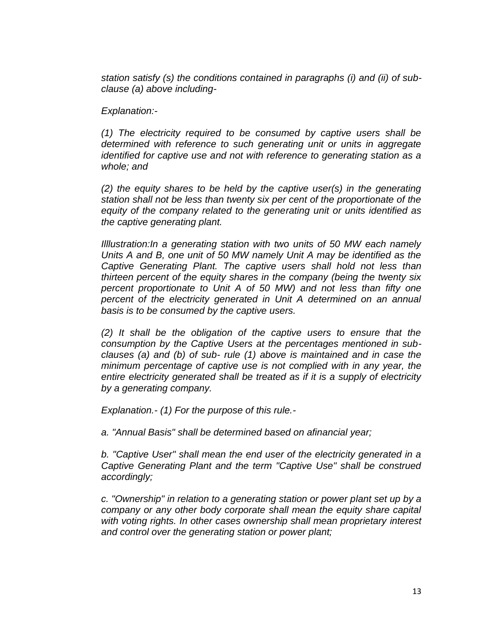*station satisfy (s) the conditions contained in paragraphs (i) and (ii) of subclause (a) above including-*

*Explanation:-*

*(1) The electricity required to be consumed by captive users shall be determined with reference to such generating unit or units in aggregate identified for captive use and not with reference to generating station as a whole; and* 

*(2) the equity shares to be held by the captive user(s) in the generating station shall not be less than twenty six per cent of the proportionate of the equity of the company related to the generating unit or units identified as the captive generating plant.* 

*Illlustration:In a generating station with two units of 50 MW each namely Units A and B, one unit of 50 MW namely Unit A may be identified as the Captive Generating Plant. The captive users shall hold not less than thirteen percent of the equity shares in the company (being the twenty six percent proportionate to Unit A of 50 MW) and not less than fifty one percent of the electricity generated in Unit A determined on an annual basis is to be consumed by the captive users.* 

*(2) It shall be the obligation of the captive users to ensure that the consumption by the Captive Users at the percentages mentioned in subclauses (a) and (b) of sub- rule (1) above is maintained and in case the minimum percentage of captive use is not complied with in any year, the entire electricity generated shall be treated as if it is a supply of electricity by a generating company.* 

*Explanation.- (1) For the purpose of this rule.-*

*a. "Annual Basis" shall be determined based on afinancial year;* 

*b. "Captive User" shall mean the end user of the electricity generated in a Captive Generating Plant and the term "Captive Use" shall be construed accordingly;* 

*c. "Ownership" in relation to a generating station or power plant set up by a company or any other body corporate shall mean the equity share capital with voting rights. In other cases ownership shall mean proprietary interest and control over the generating station or power plant;*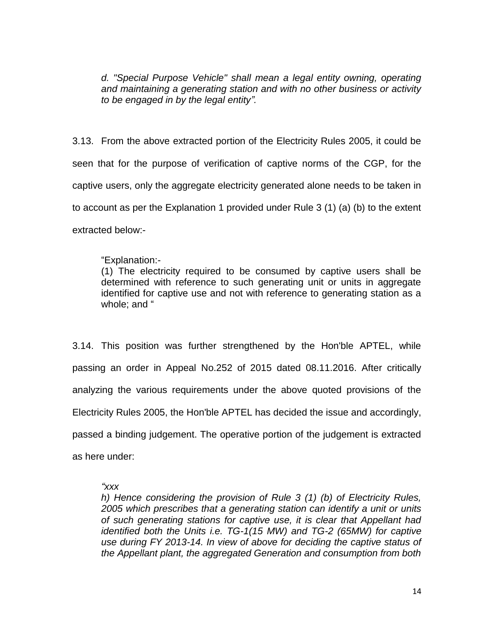*d. "Special Purpose Vehicle" shall mean a legal entity owning, operating and maintaining a generating station and with no other business or activity to be engaged in by the legal entity".* 

3.13. From the above extracted portion of the Electricity Rules 2005, it could be seen that for the purpose of verification of captive norms of the CGP, for the captive users, only the aggregate electricity generated alone needs to be taken in to account as per the Explanation 1 provided under Rule 3 (1) (a) (b) to the extent extracted below:-

# "Explanation:-

(1) The electricity required to be consumed by captive users shall be determined with reference to such generating unit or units in aggregate identified for captive use and not with reference to generating station as a whole: and "

3.14. This position was further strengthened by the Hon'ble APTEL, while passing an order in Appeal No.252 of 2015 dated 08.11.2016. After critically analyzing the various requirements under the above quoted provisions of the Electricity Rules 2005, the Hon'ble APTEL has decided the issue and accordingly, passed a binding judgement. The operative portion of the judgement is extracted as here under:

### *"xxx*

*h) Hence considering the provision of Rule 3 (1) (b) of Electricity Rules, 2005 which prescribes that a generating station can identify a unit or units of such generating stations for captive use, it is clear that Appellant had identified both the Units i.e. TG-1(15 MW) and TG-2 (65MW) for captive use during FY 2013-14. In view of above for deciding the captive status of the Appellant plant, the aggregated Generation and consumption from both*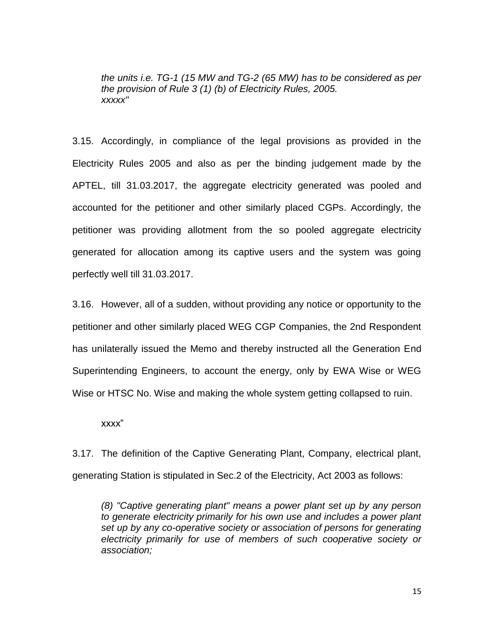*the units i.e. TG-1 (15 MW and TG-2 (65 MW) has to be considered as per the provision of Rule 3 (1) (b) of Electricity Rules, 2005. xxxxx"* 

3.15. Accordingly, in compliance of the legal provisions as provided in the Electricity Rules 2005 and also as per the binding judgement made by the APTEL, till 31.03.2017, the aggregate electricity generated was pooled and accounted for the petitioner and other similarly placed CGPs. Accordingly, the petitioner was providing allotment from the so pooled aggregate electricity generated for allocation among its captive users and the system was going perfectly well till 31.03.2017.

3.16. However, all of a sudden, without providing any notice or opportunity to the petitioner and other similarly placed WEG CGP Companies, the 2nd Respondent has unilaterally issued the Memo and thereby instructed all the Generation End Superintending Engineers, to account the energy, only by EWA Wise or WEG Wise or HTSC No. Wise and making the whole system getting collapsed to ruin.

xxxx"

3.17. The definition of the Captive Generating Plant, Company, electrical plant, generating Station is stipulated in Sec.2 of the Electricity, Act 2003 as follows:

*(8) "Captive generating plant" means a power plant set up by any person to generate electricity primarily for his own use and includes a power plant set up by any co-operative society or association of persons for generating electricity primarily for use of members of such cooperative society or association;*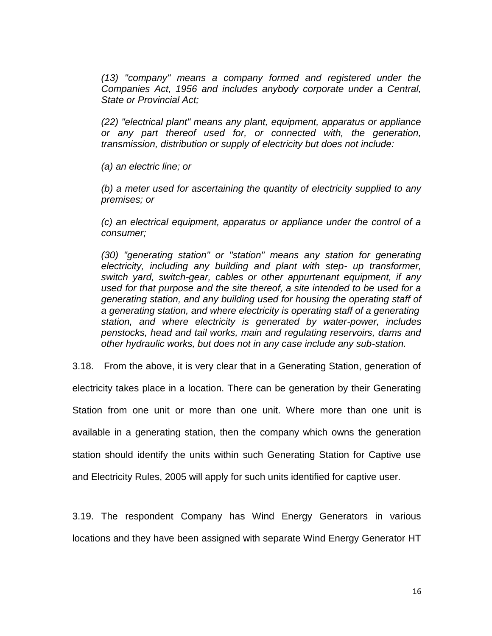*(13) "company" means a company formed and registered under the Companies Act, 1956 and includes anybody corporate under a Central, State or Provincial Act;* 

*(22) "electrical plant" means any plant, equipment, apparatus or appliance or any part thereof used for, or connected with, the generation, transmission, distribution or supply of electricity but does not include:* 

*(a) an electric line; or* 

*(b) a meter used for ascertaining the quantity of electricity supplied to any premises; or* 

*(c) an electrical equipment, apparatus or appliance under the control of a consumer;* 

*(30) "generating station" or "station" means any station for generating electricity, including any building and plant with step- up transformer, switch yard, switch-gear, cables or other appurtenant equipment, if any used for that purpose and the site thereof, a site intended to be used for a generating station, and any building used for housing the operating staff of a generating station, and where electricity is operating staff of a generating station, and where electricity is generated by water-power, includes penstocks, head and tail works, main and regulating reservoirs, dams and other hydraulic works, but does not in any case include any sub-station.* 

3.18. From the above, it is very clear that in a Generating Station, generation of

electricity takes place in a location. There can be generation by their Generating Station from one unit or more than one unit. Where more than one unit is available in a generating station, then the company which owns the generation station should identify the units within such Generating Station for Captive use and Electricity Rules, 2005 will apply for such units identified for captive user.

3.19. The respondent Company has Wind Energy Generators in various locations and they have been assigned with separate Wind Energy Generator HT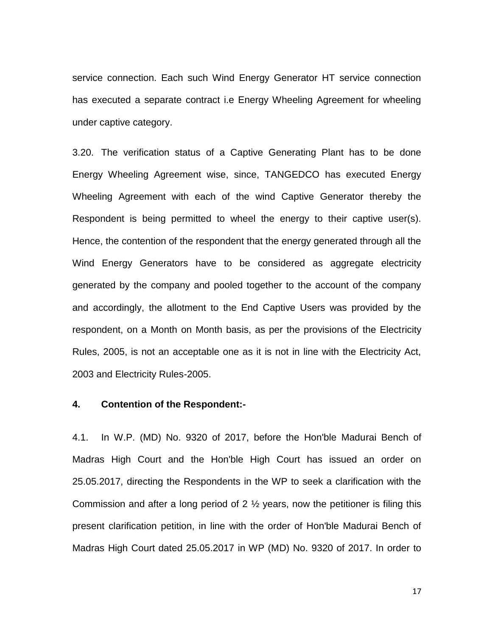service connection. Each such Wind Energy Generator HT service connection has executed a separate contract i.e Energy Wheeling Agreement for wheeling under captive category.

3.20. The verification status of a Captive Generating Plant has to be done Energy Wheeling Agreement wise, since, TANGEDCO has executed Energy Wheeling Agreement with each of the wind Captive Generator thereby the Respondent is being permitted to wheel the energy to their captive user(s). Hence, the contention of the respondent that the energy generated through all the Wind Energy Generators have to be considered as aggregate electricity generated by the company and pooled together to the account of the company and accordingly, the allotment to the End Captive Users was provided by the respondent, on a Month on Month basis, as per the provisions of the Electricity Rules, 2005, is not an acceptable one as it is not in line with the Electricity Act, 2003 and Electricity Rules-2005.

#### **4. Contention of the Respondent:-**

4.1. In W.P. (MD) No. 9320 of 2017, before the Hon'ble Madurai Bench of Madras High Court and the Hon'ble High Court has issued an order on 25.05.2017, directing the Respondents in the WP to seek a clarification with the Commission and after a long period of 2  $\frac{1}{2}$  years, now the petitioner is filing this present clarification petition, in line with the order of Hon'ble Madurai Bench of Madras High Court dated 25.05.2017 in WP (MD) No. 9320 of 2017. In order to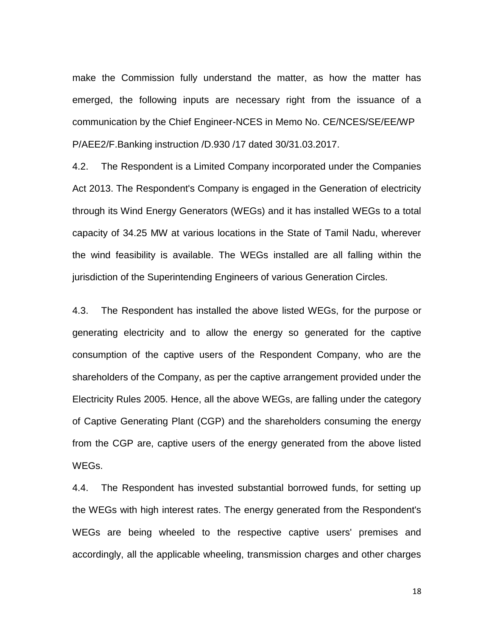make the Commission fully understand the matter, as how the matter has emerged, the following inputs are necessary right from the issuance of a communication by the Chief Engineer-NCES in Memo No. CE/NCES/SE/EE/WP P/AEE2/F.Banking instruction /D.930 /17 dated 30/31.03.2017.

4.2. The Respondent is a Limited Company incorporated under the Companies Act 2013. The Respondent's Company is engaged in the Generation of electricity through its Wind Energy Generators (WEGs) and it has installed WEGs to a total capacity of 34.25 MW at various locations in the State of Tamil Nadu, wherever the wind feasibility is available. The WEGs installed are all falling within the jurisdiction of the Superintending Engineers of various Generation Circles.

4.3. The Respondent has installed the above listed WEGs, for the purpose or generating electricity and to allow the energy so generated for the captive consumption of the captive users of the Respondent Company, who are the shareholders of the Company, as per the captive arrangement provided under the Electricity Rules 2005. Hence, all the above WEGs, are falling under the category of Captive Generating Plant (CGP) and the shareholders consuming the energy from the CGP are, captive users of the energy generated from the above listed WEGs.

4.4. The Respondent has invested substantial borrowed funds, for setting up the WEGs with high interest rates. The energy generated from the Respondent's WEGs are being wheeled to the respective captive users' premises and accordingly, all the applicable wheeling, transmission charges and other charges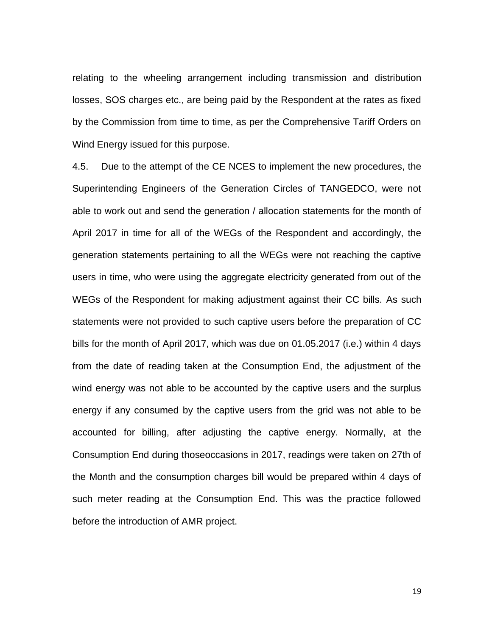relating to the wheeling arrangement including transmission and distribution losses, SOS charges etc., are being paid by the Respondent at the rates as fixed by the Commission from time to time, as per the Comprehensive Tariff Orders on Wind Energy issued for this purpose.

4.5. Due to the attempt of the CE NCES to implement the new procedures, the Superintending Engineers of the Generation Circles of TANGEDCO, were not able to work out and send the generation / allocation statements for the month of April 2017 in time for all of the WEGs of the Respondent and accordingly, the generation statements pertaining to all the WEGs were not reaching the captive users in time, who were using the aggregate electricity generated from out of the WEGs of the Respondent for making adjustment against their CC bills. As such statements were not provided to such captive users before the preparation of CC bills for the month of April 2017, which was due on 01.05.2017 (i.e.) within 4 days from the date of reading taken at the Consumption End, the adjustment of the wind energy was not able to be accounted by the captive users and the surplus energy if any consumed by the captive users from the grid was not able to be accounted for billing, after adjusting the captive energy. Normally, at the Consumption End during thoseoccasions in 2017, readings were taken on 27th of the Month and the consumption charges bill would be prepared within 4 days of such meter reading at the Consumption End. This was the practice followed before the introduction of AMR project.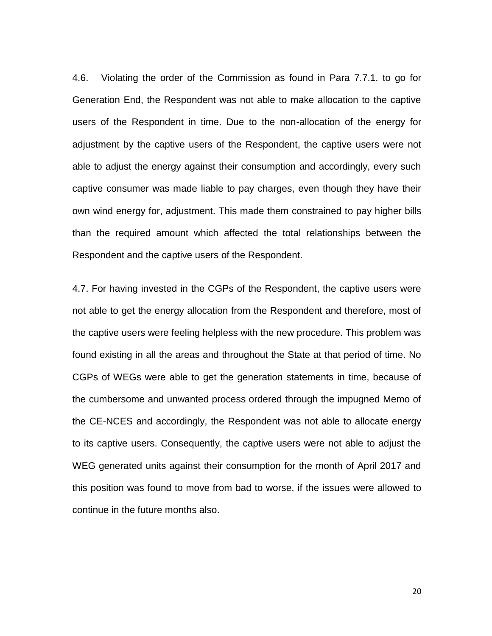4.6. Violating the order of the Commission as found in Para 7.7.1. to go for Generation End, the Respondent was not able to make allocation to the captive users of the Respondent in time. Due to the non-allocation of the energy for adjustment by the captive users of the Respondent, the captive users were not able to adjust the energy against their consumption and accordingly, every such captive consumer was made liable to pay charges, even though they have their own wind energy for, adjustment. This made them constrained to pay higher bills than the required amount which affected the total relationships between the Respondent and the captive users of the Respondent.

4.7. For having invested in the CGPs of the Respondent, the captive users were not able to get the energy allocation from the Respondent and therefore, most of the captive users were feeling helpless with the new procedure. This problem was found existing in all the areas and throughout the State at that period of time. No CGPs of WEGs were able to get the generation statements in time, because of the cumbersome and unwanted process ordered through the impugned Memo of the CE-NCES and accordingly, the Respondent was not able to allocate energy to its captive users. Consequently, the captive users were not able to adjust the WEG generated units against their consumption for the month of April 2017 and this position was found to move from bad to worse, if the issues were allowed to continue in the future months also.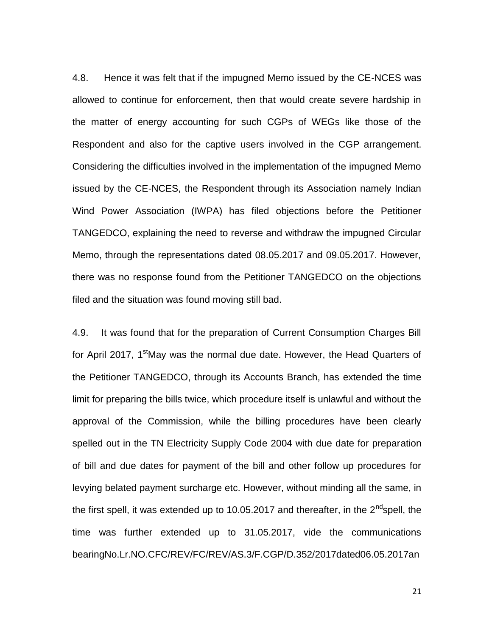4.8. Hence it was felt that if the impugned Memo issued by the CE-NCES was allowed to continue for enforcement, then that would create severe hardship in the matter of energy accounting for such CGPs of WEGs like those of the Respondent and also for the captive users involved in the CGP arrangement. Considering the difficulties involved in the implementation of the impugned Memo issued by the CE-NCES, the Respondent through its Association namely Indian Wind Power Association (IWPA) has filed objections before the Petitioner TANGEDCO, explaining the need to reverse and withdraw the impugned Circular Memo, through the representations dated 08.05.2017 and 09.05.2017. However, there was no response found from the Petitioner TANGEDCO on the objections filed and the situation was found moving still bad.

4.9. It was found that for the preparation of Current Consumption Charges Bill for April 2017, 1<sup>st</sup>May was the normal due date. However, the Head Quarters of the Petitioner TANGEDCO, through its Accounts Branch, has extended the time limit for preparing the bills twice, which procedure itself is unlawful and without the approval of the Commission, while the billing procedures have been clearly spelled out in the TN Electricity Supply Code 2004 with due date for preparation of bill and due dates for payment of the bill and other follow up procedures for levying belated payment surcharge etc. However, without minding all the same, in the first spell, it was extended up to 10.05.2017 and thereafter, in the  $2^{nd}$ spell, the time was further extended up to 31.05.2017, vide the communications bearingNo.Lr.NO.CFC/REV/FC/REV/AS.3/F.CGP/D.352/2017dated06.05.2017an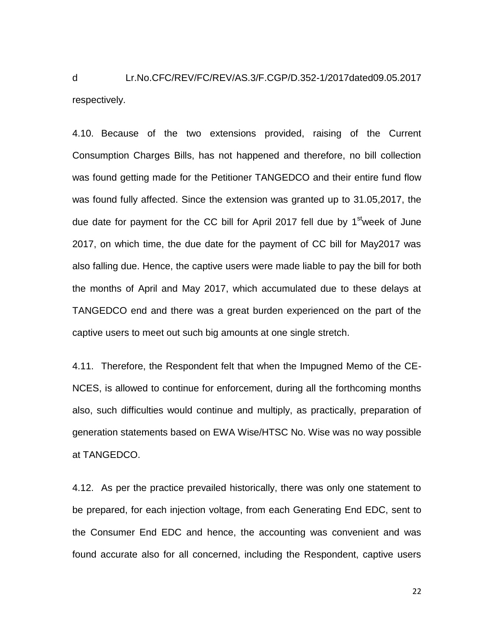d Lr.No.CFC/REV/FC/REV/AS.3/F.CGP/D.352-1/2017dated09.05.2017 respectively.

4.10. Because of the two extensions provided, raising of the Current Consumption Charges Bills, has not happened and therefore, no bill collection was found getting made for the Petitioner TANGEDCO and their entire fund flow was found fully affected. Since the extension was granted up to 31.05,2017, the due date for payment for the CC bill for April 2017 fell due by 1<sup>st</sup>week of June 2017, on which time, the due date for the payment of CC bill for May2017 was also falling due. Hence, the captive users were made liable to pay the bill for both the months of April and May 2017, which accumulated due to these delays at TANGEDCO end and there was a great burden experienced on the part of the captive users to meet out such big amounts at one single stretch.

4.11. Therefore, the Respondent felt that when the Impugned Memo of the CE-NCES, is allowed to continue for enforcement, during all the forthcoming months also, such difficulties would continue and multiply, as practically, preparation of generation statements based on EWA Wise/HTSC No. Wise was no way possible at TANGEDCO.

4.12. As per the practice prevailed historically, there was only one statement to be prepared, for each injection voltage, from each Generating End EDC, sent to the Consumer End EDC and hence, the accounting was convenient and was found accurate also for all concerned, including the Respondent, captive users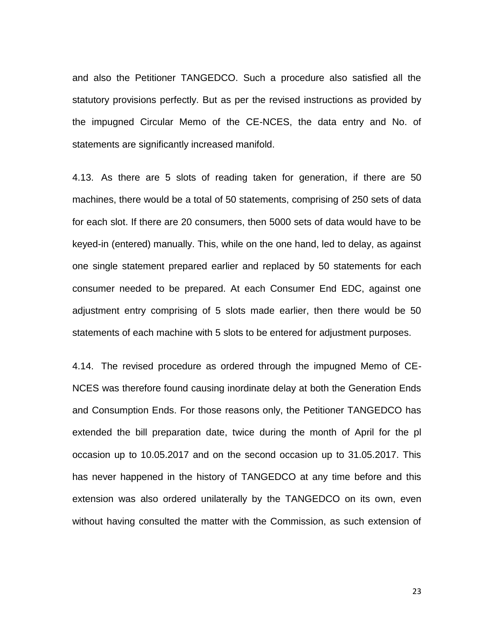and also the Petitioner TANGEDCO. Such a procedure also satisfied all the statutory provisions perfectly. But as per the revised instructions as provided by the impugned Circular Memo of the CE-NCES, the data entry and No. of statements are significantly increased manifold.

4.13. As there are 5 slots of reading taken for generation, if there are 50 machines, there would be a total of 50 statements, comprising of 250 sets of data for each slot. If there are 20 consumers, then 5000 sets of data would have to be keyed-in (entered) manually. This, while on the one hand, led to delay, as against one single statement prepared earlier and replaced by 50 statements for each consumer needed to be prepared. At each Consumer End EDC, against one adjustment entry comprising of 5 slots made earlier, then there would be 50 statements of each machine with 5 slots to be entered for adjustment purposes.

4.14. The revised procedure as ordered through the impugned Memo of CE-NCES was therefore found causing inordinate delay at both the Generation Ends and Consumption Ends. For those reasons only, the Petitioner TANGEDCO has extended the bill preparation date, twice during the month of April for the pl occasion up to 10.05.2017 and on the second occasion up to 31.05.2017. This has never happened in the history of TANGEDCO at any time before and this extension was also ordered unilaterally by the TANGEDCO on its own, even without having consulted the matter with the Commission, as such extension of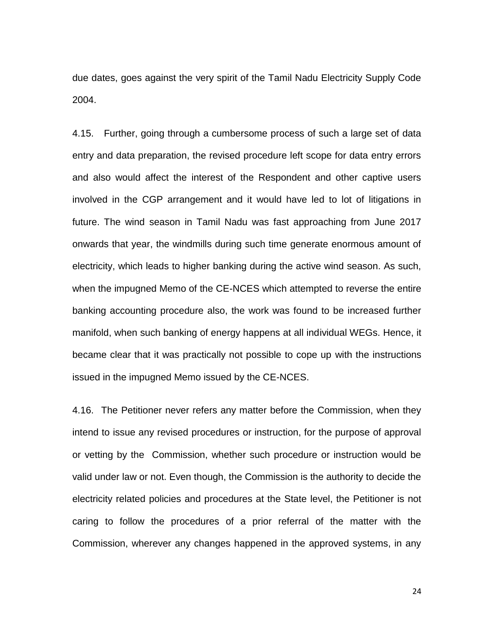due dates, goes against the very spirit of the Tamil Nadu Electricity Supply Code 2004.

4.15. Further, going through a cumbersome process of such a large set of data entry and data preparation, the revised procedure left scope for data entry errors and also would affect the interest of the Respondent and other captive users involved in the CGP arrangement and it would have led to lot of litigations in future. The wind season in Tamil Nadu was fast approaching from June 2017 onwards that year, the windmills during such time generate enormous amount of electricity, which leads to higher banking during the active wind season. As such, when the impugned Memo of the CE-NCES which attempted to reverse the entire banking accounting procedure also, the work was found to be increased further manifold, when such banking of energy happens at all individual WEGs. Hence, it became clear that it was practically not possible to cope up with the instructions issued in the impugned Memo issued by the CE-NCES.

4.16. The Petitioner never refers any matter before the Commission, when they intend to issue any revised procedures or instruction, for the purpose of approval or vetting by the Commission, whether such procedure or instruction would be valid under law or not. Even though, the Commission is the authority to decide the electricity related policies and procedures at the State level, the Petitioner is not caring to follow the procedures of a prior referral of the matter with the Commission, wherever any changes happened in the approved systems, in any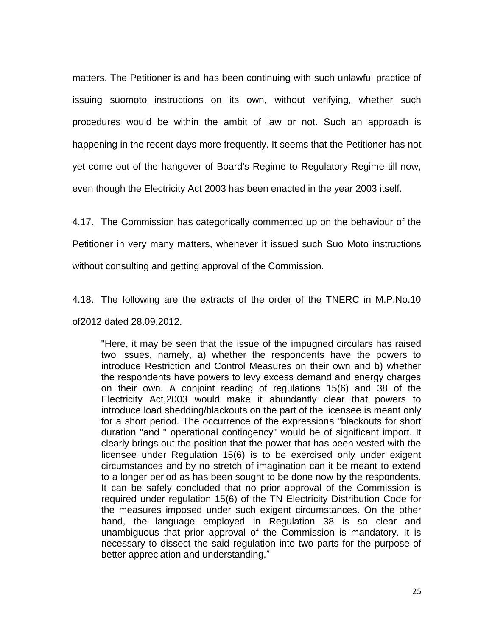matters. The Petitioner is and has been continuing with such unlawful practice of issuing suomoto instructions on its own, without verifying, whether such procedures would be within the ambit of law or not. Such an approach is happening in the recent days more frequently. It seems that the Petitioner has not yet come out of the hangover of Board's Regime to Regulatory Regime till now, even though the Electricity Act 2003 has been enacted in the year 2003 itself.

4.17. The Commission has categorically commented up on the behaviour of the

Petitioner in very many matters, whenever it issued such Suo Moto instructions

without consulting and getting approval of the Commission.

4.18. The following are the extracts of the order of the TNERC in M.P.No.10 of2012 dated 28.09.2012.

"Here, it may be seen that the issue of the impugned circulars has raised two issues, namely, a) whether the respondents have the powers to introduce Restriction and Control Measures on their own and b) whether the respondents have powers to levy excess demand and energy charges on their own. A conjoint reading of regulations 15(6) and 38 of the Electricity Act,2003 would make it abundantly clear that powers to introduce load shedding/blackouts on the part of the licensee is meant only for a short period. The occurrence of the expressions "blackouts for short duration "and " operational contingency" would be of significant import. It clearly brings out the position that the power that has been vested with the licensee under Regulation 15(6) is to be exercised only under exigent circumstances and by no stretch of imagination can it be meant to extend to a longer period as has been sought to be done now by the respondents. It can be safely concluded that no prior approval of the Commission is required under regulation 15(6) of the TN Electricity Distribution Code for the measures imposed under such exigent circumstances. On the other hand, the language employed in Regulation 38 is so clear and unambiguous that prior approval of the Commission is mandatory. It is necessary to dissect the said regulation into two parts for the purpose of better appreciation and understanding."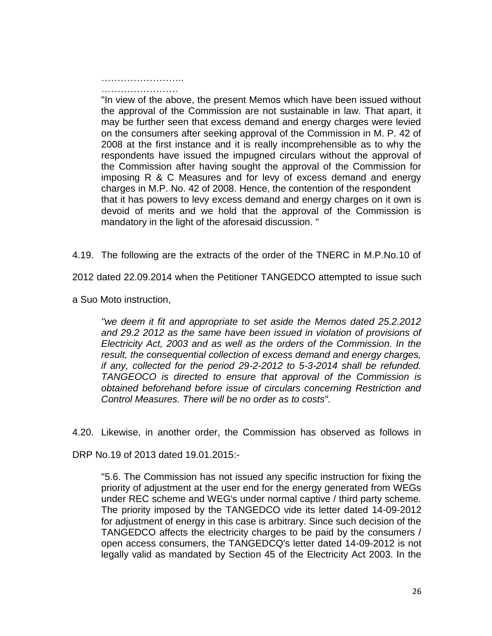…………………….. ……………………

"In view of the above, the present Memos which have been issued without the approval of the Commission are not sustainable in law. That apart, it may be further seen that excess demand and energy charges were levied on the consumers after seeking approval of the Commission in M. P. 42 of 2008 at the first instance and it is really incomprehensible as to why the respondents have issued the impugned circulars without the approval of the Commission after having sought the approval of the Commission for imposing R & C Measures and for levy of excess demand and energy charges in M.P. No. 42 of 2008. Hence, the contention of the respondent that it has powers to levy excess demand and energy charges on it own is devoid of merits and we hold that the approval of the Commission is mandatory in the light of the aforesaid discussion. "

4.19. The following are the extracts of the order of the TNERC in M.P.No.10 of

2012 dated 22.09.2014 when the Petitioner TANGEDCO attempted to issue such

a Suo Moto instruction,

*"we deem it fit and appropriate to set aside the Memos dated 25.2.2012 and 29.2 2012 as the same have been issued in violation of provisions of Electricity Act, 2003 and as well as the orders of the Commission. In the result, the consequential collection of excess demand and energy charges, if any, collected for the period 29-2-2012 to 5-3-2014 shall be refunded. TANGEOCO is directed to ensure that approval of the Commission is obtained beforehand before issue of circulars concerning Restriction and Control Measures. There will be no order as to costs".* 

4.20. Likewise, in another order, the Commission has observed as follows in

DRP No.19 of 2013 dated 19.01.2015:-

"5.6. The Commission has not issued any specific instruction for fixing the priority of adjustment at the user end for the energy generated from WEGs under REC scheme and WEG's under normal captive / third party scheme. The priority imposed by the TANGEDCO vide its letter dated 14-09-2012 for adjustment of energy in this case is arbitrary. Since such decision of the TANGEDCO affects the electricity charges to be paid by the consumers / open access consumers, the TANGEDCQ's letter dated 14-09-2012 is not legally valid as mandated by Section 45 of the Electricity Act 2003. In the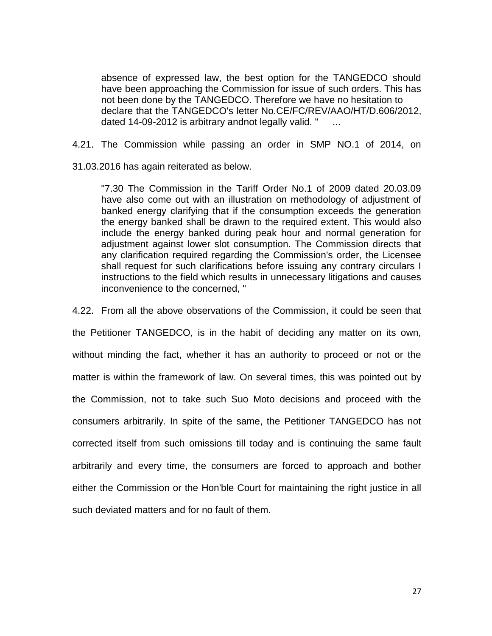absence of expressed law, the best option for the TANGEDCO should have been approaching the Commission for issue of such orders. This has not been done by the TANGEDCO. Therefore we have no hesitation to declare that the TANGEDCO's letter No.CE/FC/REV/AAO/HT/D.606/2012, dated 14-09-2012 is arbitrary andnot legally valid. " ...

4.21. The Commission while passing an order in SMP NO.1 of 2014, on

31.03.2016 has again reiterated as below.

"7.30 The Commission in the Tariff Order No.1 of 2009 dated 20.03.09 have also come out with an illustration on methodology of adjustment of banked energy clarifying that if the consumption exceeds the generation the energy banked shall be drawn to the required extent. This would also include the energy banked during peak hour and normal generation for adjustment against lower slot consumption. The Commission directs that any clarification required regarding the Commission's order, the Licensee shall request for such clarifications before issuing any contrary circulars I instructions to the field which results in unnecessary litigations and causes inconvenience to the concerned, "

4.22. From all the above observations of the Commission, it could be seen that the Petitioner TANGEDCO, is in the habit of deciding any matter on its own, without minding the fact, whether it has an authority to proceed or not or the matter is within the framework of law. On several times, this was pointed out by the Commission, not to take such Suo Moto decisions and proceed with the consumers arbitrarily. In spite of the same, the Petitioner TANGEDCO has not corrected itself from such omissions till today and is continuing the same fault arbitrarily and every time, the consumers are forced to approach and bother either the Commission or the Hon'ble Court for maintaining the right justice in all such deviated matters and for no fault of them.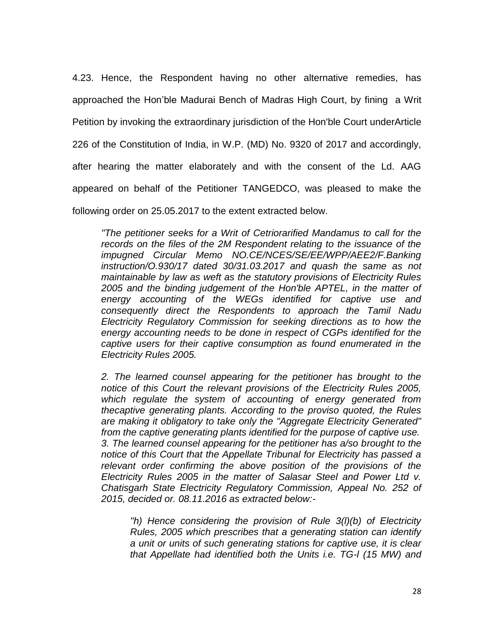4.23. Hence, the Respondent having no other alternative remedies, has approached the Hon'ble Madurai Bench of Madras High Court, by fining a Writ Petition by invoking the extraordinary jurisdiction of the Hon'ble Court underArticle 226 of the Constitution of India, in W.P. (MD) No. 9320 of 2017 and accordingly, after hearing the matter elaborately and with the consent of the Ld. AAG appeared on behalf of the Petitioner TANGEDCO, was pleased to make the following order on 25.05.2017 to the extent extracted below.

*"The petitioner seeks for a Writ of Cetriorarified Mandamus to call for the records on the files of the 2M Respondent relating to the issuance of the impugned Circular Memo NO.CE/NCES/SE/EE/WPP/AEE2/F.Banking instruction/O.930/17 dated 30/31.03.2017 and quash the same as not maintainable by law as weft as the statutory provisions of Electricity Rules 2005 and the binding judgement of the Hon'ble APTEL, in the matter of energy accounting of the WEGs identified for captive use and consequently direct the Respondents to approach the Tamil Nadu Electricity Regulatory Commission for seeking directions as to how the energy accounting needs to be done in respect of CGPs identified for the captive users for their captive consumption as found enumerated in the Electricity Rules 2005.* 

*2. The learned counsel appearing for the petitioner has brought to the notice of this Court the relevant provisions of the Electricity Rules 2005, which regulate the system of accounting of energy generated from thecaptive generating plants. According to the proviso quoted, the Rules are making it obligatory to take only the "Aggregate Electricity Generated" from the captive generating plants identified for the purpose of captive use. 3. The learned counsel appearing for the petitioner has a/so brought to the notice of this Court that the Appellate Tribunal for Electricity has passed a relevant order confirming the above position of the provisions of the Electricity Rules 2005 in the matter of Salasar Steel and Power Ltd v. Chatisgarh State Electricity Regulatory Commission, Appeal No. 252 of 2015, decided or. 08.11.2016 as extracted below:-*

*"h) Hence considering the provision of Rule 3(l)(b) of Electricity Rules, 2005 which prescribes that a generating station can identify a unit or units of such generating stations for captive use, it is clear that Appellate had identified both the Units i.e. TG-l (15 MW) and*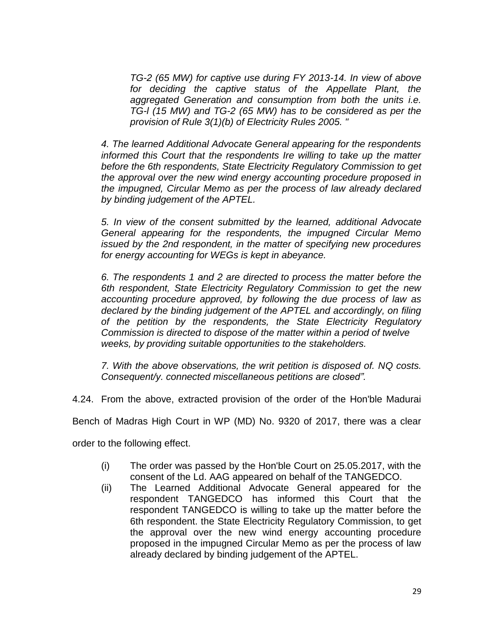*TG-2 (65 MW) for captive use during FY 2013-14. In view of above for deciding the captive status of the Appellate Plant, the aggregated Generation and consumption from both the units i.e. TG-l (15 MW) and TG-2 (65 MW) has to be considered as per the provision of Rule 3(1)(b) of Electricity Rules 2005. "* 

*4. The learned Additional Advocate General appearing for the respondents informed this Court that the respondents Ire willing to take up the matter before the 6th respondents, State Electricity Regulatory Commission to get the approval over the new wind energy accounting procedure proposed in the impugned, Circular Memo as per the process of law already declared by binding judgement of the APTEL.*

*5. In view of the consent submitted by the learned, additional Advocate General appearing for the respondents, the impugned Circular Memo issued by the 2nd respondent, in the matter of specifying new procedures for energy accounting for WEGs is kept in abeyance.* 

*6. The respondents 1 and 2 are directed to process the matter before the 6th respondent, State Electricity Regulatory Commission to get the new accounting procedure approved, by following the due process of law as declared by the binding judgement of the APTEL and accordingly, on filing of the petition by the respondents, the State Electricity Regulatory Commission is directed to dispose of the matter within a period of twelve weeks, by providing suitable opportunities to the stakeholders.* 

*7. With the above observations, the writ petition is disposed of. NQ costs. Consequent/y. connected miscellaneous petitions are closed".* 

4.24. From the above, extracted provision of the order of the Hon'ble Madurai

Bench of Madras High Court in WP (MD) No. 9320 of 2017, there was a clear

order to the following effect.

- (i) The order was passed by the Hon'ble Court on 25.05.2017, with the consent of the Ld. AAG appeared on behalf of the TANGEDCO.
- (ii) The Learned Additional Advocate General appeared for the respondent TANGEDCO has informed this Court that the respondent TANGEDCO is willing to take up the matter before the 6th respondent. the State Electricity Regulatory Commission, to get the approval over the new wind energy accounting procedure proposed in the impugned Circular Memo as per the process of law already declared by binding judgement of the APTEL.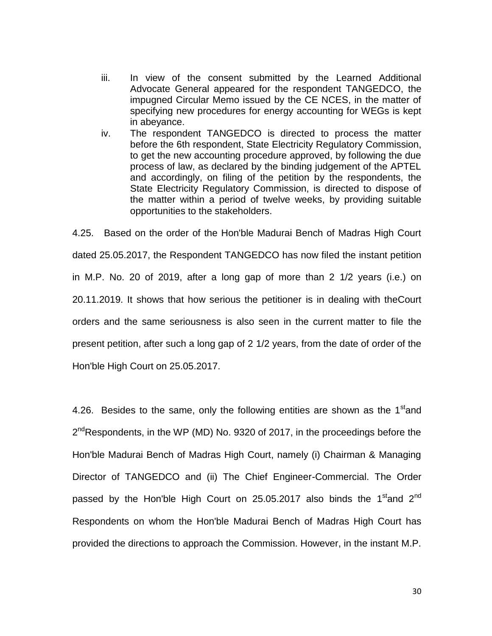- iii. In view of the consent submitted by the Learned Additional Advocate General appeared for the respondent TANGEDCO, the impugned Circular Memo issued by the CE NCES, in the matter of specifying new procedures for energy accounting for WEGs is kept in abeyance.
- iv. The respondent TANGEDCO is directed to process the matter before the 6th respondent, State Electricity Regulatory Commission, to get the new accounting procedure approved, by following the due process of law, as declared by the binding judgement of the APTEL and accordingly, on filing of the petition by the respondents, the State Electricity Regulatory Commission, is directed to dispose of the matter within a period of twelve weeks, by providing suitable opportunities to the stakeholders.

4.25. Based on the order of the Hon'ble Madurai Bench of Madras High Court dated 25.05.2017, the Respondent TANGEDCO has now filed the instant petition in M.P. No. 20 of 2019, after a long gap of more than 2 1/2 years (i.e.) on 20.11.2019. It shows that how serious the petitioner is in dealing with theCourt orders and the same seriousness is also seen in the current matter to file the present petition, after such a long gap of 2 1/2 years, from the date of order of the Hon'ble High Court on 25.05.2017.

4.26. Besides to the same, only the following entities are shown as the  $1<sup>st</sup>$  and 2<sup>nd</sup>Respondents, in the WP (MD) No. 9320 of 2017, in the proceedings before the Hon'ble Madurai Bench of Madras High Court, namely (i) Chairman & Managing Director of TANGEDCO and (ii) The Chief Engineer-Commercial. The Order passed by the Hon'ble High Court on 25.05.2017 also binds the 1<sup>st</sup>and 2<sup>nd</sup> Respondents on whom the Hon'ble Madurai Bench of Madras High Court has provided the directions to approach the Commission. However, in the instant M.P.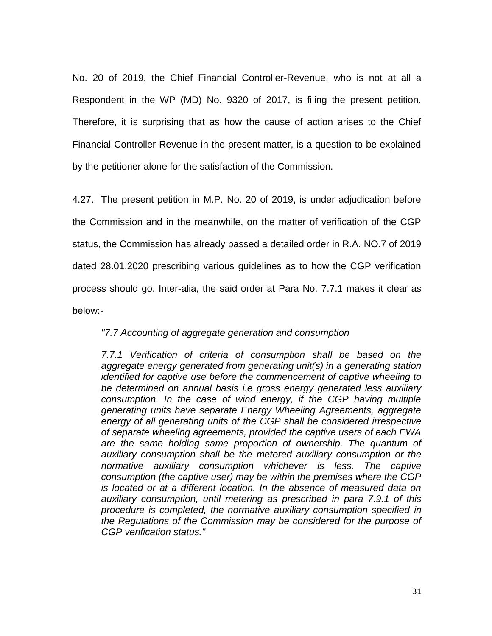No. 20 of 2019, the Chief Financial Controller-Revenue, who is not at all a Respondent in the WP (MD) No. 9320 of 2017, is filing the present petition. Therefore, it is surprising that as how the cause of action arises to the Chief Financial Controller-Revenue in the present matter, is a question to be explained by the petitioner alone for the satisfaction of the Commission.

4.27. The present petition in M.P. No. 20 of 2019, is under adjudication before the Commission and in the meanwhile, on the matter of verification of the CGP status, the Commission has already passed a detailed order in R.A. NO.7 of 2019 dated 28.01.2020 prescribing various guidelines as to how the CGP verification process should go. Inter-alia, the said order at Para No. 7.7.1 makes it clear as below:-

# *"7.7 Accounting of aggregate generation and consumption*

*7.7.1 Verification of criteria of consumption shall be based on the aggregate energy generated from generating unit(s) in a generating station identified for captive use before the commencement of captive wheeling to be determined on annual basis i.e gross energy generated less auxiliary consumption. In the case of wind energy, if the CGP having multiple generating units have separate Energy Wheeling Agreements, aggregate energy of all generating units of the CGP shall be considered irrespective of separate wheeling agreements, provided the captive users of each EWA are the same holding same proportion of ownership. The quantum of auxiliary consumption shall be the metered auxiliary consumption or the normative auxiliary consumption whichever is less. The captive consumption (the captive user) may be within the premises where the CGP is located or at a different location. In the absence of measured data on auxiliary consumption, until metering as prescribed in para 7.9.1 of this procedure is completed, the normative auxiliary consumption specified in the Regulations of the Commission may be considered for the purpose of CGP verification status."*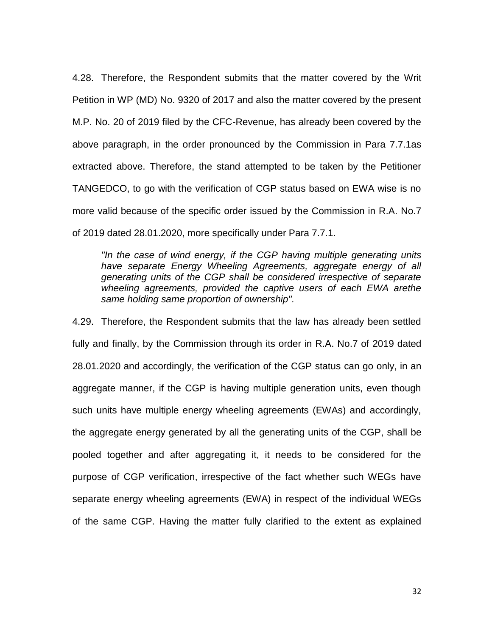4.28. Therefore, the Respondent submits that the matter covered by the Writ Petition in WP (MD) No. 9320 of 2017 and also the matter covered by the present M.P. No. 20 of 2019 filed by the CFC-Revenue, has already been covered by the above paragraph, in the order pronounced by the Commission in Para 7.7.1as extracted above. Therefore, the stand attempted to be taken by the Petitioner TANGEDCO, to go with the verification of CGP status based on EWA wise is no more valid because of the specific order issued by the Commission in R.A. No.7 of 2019 dated 28.01.2020, more specifically under Para 7.7.1.

*"In the case of wind energy, if the CGP having multiple generating units have separate Energy Wheeling Agreements, aggregate energy of all generating units of the CGP shall be considered irrespective of separate wheeling agreements, provided the captive users of each EWA arethe same holding same proportion of ownership".*

4.29. Therefore, the Respondent submits that the law has already been settled fully and finally, by the Commission through its order in R.A. No.7 of 2019 dated 28.01.2020 and accordingly, the verification of the CGP status can go only, in an aggregate manner, if the CGP is having multiple generation units, even though such units have multiple energy wheeling agreements (EWAs) and accordingly, the aggregate energy generated by all the generating units of the CGP, shall be pooled together and after aggregating it, it needs to be considered for the purpose of CGP verification, irrespective of the fact whether such WEGs have separate energy wheeling agreements (EWA) in respect of the individual WEGs of the same CGP. Having the matter fully clarified to the extent as explained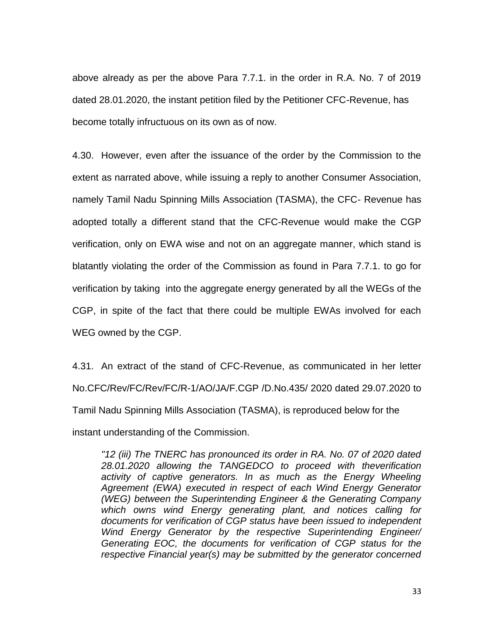above already as per the above Para 7.7.1. in the order in R.A. No. 7 of 2019 dated 28.01.2020, the instant petition filed by the Petitioner CFC-Revenue, has become totally infructuous on its own as of now.

4.30. However, even after the issuance of the order by the Commission to the extent as narrated above, while issuing a reply to another Consumer Association, namely Tamil Nadu Spinning Mills Association (TASMA), the CFC- Revenue has adopted totally a different stand that the CFC-Revenue would make the CGP verification, only on EWA wise and not on an aggregate manner, which stand is blatantly violating the order of the Commission as found in Para 7.7.1. to go for verification by taking into the aggregate energy generated by all the WEGs of the CGP, in spite of the fact that there could be multiple EWAs involved for each WEG owned by the CGP.

4.31. An extract of the stand of CFC-Revenue, as communicated in her letter No.CFC/Rev/FC/Rev/FC/R-1/AO/JA/F.CGP /D.No.435/ 2020 dated 29.07.2020 to Tamil Nadu Spinning Mills Association (TASMA), is reproduced below for the instant understanding of the Commission.

*"12 (iii) The TNERC has pronounced its order in RA. No. 07 of 2020 dated 28.01.2020 allowing the TANGEDCO to proceed with theverification activity of captive generators. In as much as the Energy Wheeling Agreement (EWA) executed in respect of each Wind Energy Generator (WEG) between the Superintending Engineer & the Generating Company which owns wind Energy generating plant, and notices calling for documents for verification of CGP status have been issued to independent Wind Energy Generator by the respective Superintending Engineer/ Generating EOC, the documents for verification of CGP status for the respective Financial year(s) may be submitted by the generator concerned*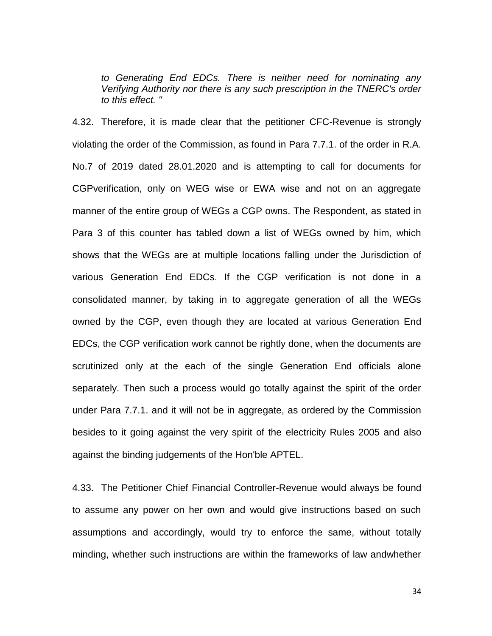*to Generating End EDCs. There is neither need for nominating any Verifying Authority nor there is any such prescription in the TNERC's order to this effect. "* 

4.32. Therefore, it is made clear that the petitioner CFC-Revenue is strongly violating the order of the Commission, as found in Para 7.7.1. of the order in R.A. No.7 of 2019 dated 28.01.2020 and is attempting to call for documents for CGPverification, only on WEG wise or EWA wise and not on an aggregate manner of the entire group of WEGs a CGP owns. The Respondent, as stated in Para 3 of this counter has tabled down a list of WEGs owned by him, which shows that the WEGs are at multiple locations falling under the Jurisdiction of various Generation End EDCs. If the CGP verification is not done in a consolidated manner, by taking in to aggregate generation of all the WEGs owned by the CGP, even though they are located at various Generation End EDCs, the CGP verification work cannot be rightly done, when the documents are scrutinized only at the each of the single Generation End officials alone separately. Then such a process would go totally against the spirit of the order under Para 7.7.1. and it will not be in aggregate, as ordered by the Commission besides to it going against the very spirit of the electricity Rules 2005 and also against the binding judgements of the Hon'ble APTEL.

4.33. The Petitioner Chief Financial Controller-Revenue would always be found to assume any power on her own and would give instructions based on such assumptions and accordingly, would try to enforce the same, without totally minding, whether such instructions are within the frameworks of law andwhether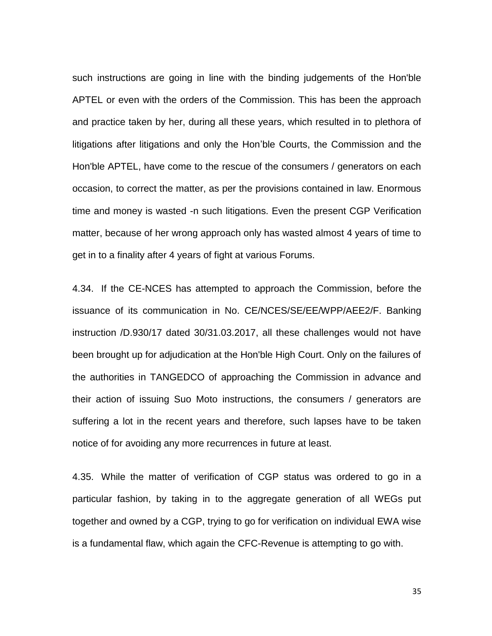such instructions are going in line with the binding judgements of the Hon'ble APTEL or even with the orders of the Commission. This has been the approach and practice taken by her, during all these years, which resulted in to plethora of litigations after litigations and only the Hon'ble Courts, the Commission and the Hon'ble APTEL, have come to the rescue of the consumers / generators on each occasion, to correct the matter, as per the provisions contained in law. Enormous time and money is wasted -n such litigations. Even the present CGP Verification matter, because of her wrong approach only has wasted almost 4 years of time to get in to a finality after 4 years of fight at various Forums.

4.34. If the CE-NCES has attempted to approach the Commission, before the issuance of its communication in No. CE/NCES/SE/EE/WPP/AEE2/F. Banking instruction /D.930/17 dated 30/31.03.2017, all these challenges would not have been brought up for adjudication at the Hon'ble High Court. Only on the failures of the authorities in TANGEDCO of approaching the Commission in advance and their action of issuing Suo Moto instructions, the consumers / generators are suffering a lot in the recent years and therefore, such lapses have to be taken notice of for avoiding any more recurrences in future at least.

4.35. While the matter of verification of CGP status was ordered to go in a particular fashion, by taking in to the aggregate generation of all WEGs put together and owned by a CGP, trying to go for verification on individual EWA wise is a fundamental flaw, which again the CFC-Revenue is attempting to go with.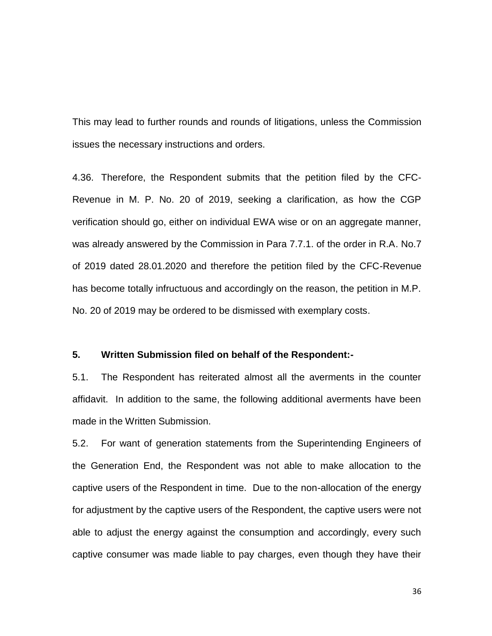This may lead to further rounds and rounds of litigations, unless the Commission issues the necessary instructions and orders.

4.36. Therefore, the Respondent submits that the petition filed by the CFC-Revenue in M. P. No. 20 of 2019, seeking a clarification, as how the CGP verification should go, either on individual EWA wise or on an aggregate manner, was already answered by the Commission in Para 7.7.1. of the order in R.A. No.7 of 2019 dated 28.01.2020 and therefore the petition filed by the CFC-Revenue has become totally infructuous and accordingly on the reason, the petition in M.P. No. 20 of 2019 may be ordered to be dismissed with exemplary costs.

### **5. Written Submission filed on behalf of the Respondent:-**

5.1. The Respondent has reiterated almost all the averments in the counter affidavit. In addition to the same, the following additional averments have been made in the Written Submission.

5.2. For want of generation statements from the Superintending Engineers of the Generation End, the Respondent was not able to make allocation to the captive users of the Respondent in time. Due to the non-allocation of the energy for adjustment by the captive users of the Respondent, the captive users were not able to adjust the energy against the consumption and accordingly, every such captive consumer was made liable to pay charges, even though they have their